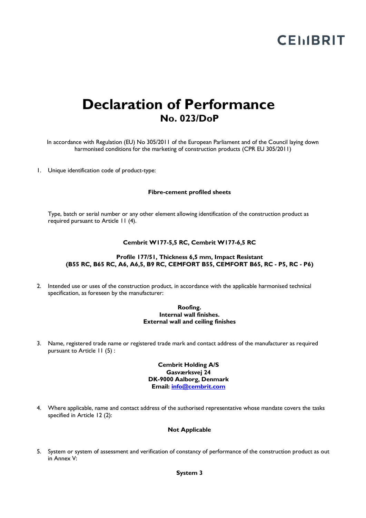# **CEMBRIT**

# **Declaration of Performance No. 023/DoP**

In accordance with Regulation (EU) No 305/2011 of the European Parliament and of the Council laying down harmonised conditions for the marketing of construction products (CPR EU 305/2011)

1. Unique identification code of product-type:

# **Fibre-cement profiled sheets**

Type, batch or serial number or any other element allowing identification of the construction product as required pursuant to Article 11 (4).

# **Cembrit W177-5,5 RC, Cembrit W177-6,5 RC**

# **Profile 177/51, Thickness 6,5 mm, Impact Resistant (B55 RC, B65 RC, A6, A6,5, B9 RC, CEMFORT B55, CEMFORT B65, RC - P5, RC - P6)**

2. Intended use or uses of the construction product, in accordance with the applicable harmonised technical specification, as foreseen by the manufacturer:

#### **Roofing. Internal wall finishes. External wall and ceiling finishes**

3. Name, registered trade name or registered trade mark and contact address of the manufacturer as required pursuant to Article 11 (5) :

# **Cembrit Holding A/S Gasværksvej 24 DK-9000 Aalborg, Denmark Email: info@cembrit.com**

4. Where applicable, name and contact address of the authorised representative whose mandate covers the tasks specified in Article 12 (2):

#### **Not Applicable**

5. System or system of assessment and verification of constancy of performance of the construction product as out in Annex V: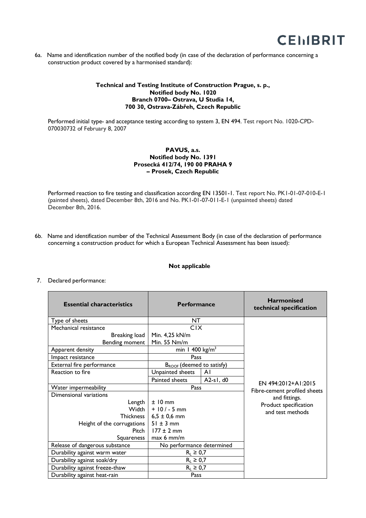

6a. Name and identification number of the notified body (in case of the declaration of performance concerning a construction product covered by a harmonised standard):

# **Technical and Testing Institute of Construction Prague, s. p., Notified body No. 1020 Branch 0700– Ostrava, U Studia 14, 700 30, Ostrava-Zábřeh, Czech Republic**

Performed initial type- and acceptance testing according to system 3, EN 494. Test report No. 1020-CPD-070030732 of February 8, 2007

# **PAVUS, a.s. Notified body No. 1391 Prosecká 412/74, 190 00 PRAHA 9 – Prosek, Czech Republic**

Performed reaction to fire testing and classification according EN 13501-1. Test report No. PK1-01-07-010-E-1 (painted sheets), dated December 8th, 2016 and No. PK1-01-07-011-E-1 (unpainted sheets) dated December 8th, 2016.

6b. Name and identification number of the Technical Assessment Body (in case of the declaration of performance concerning a construction product for which a European Technical Assessment has been issued):

# **Not applicable**

#### 7. Declared performance:

| <b>Essential characteristics</b> | <b>Performance</b>                    |             | <b>Harmonised</b><br>technical specification |
|----------------------------------|---------------------------------------|-------------|----------------------------------------------|
| Type of sheets                   | NT                                    |             |                                              |
| Mechanical resistance            | <b>CIX</b>                            |             |                                              |
| Breaking load                    | Min. 4,25 kN/m                        |             |                                              |
| Bending moment                   | Min. 55 Nm/m                          |             |                                              |
| Apparent density                 | min 1 400 $\text{kg/m}^3$             |             |                                              |
| Impact resistance                | Pass                                  |             |                                              |
| External fire performance        | B <sub>ROOF</sub> (deemed to satisfy) |             |                                              |
| Reaction to fire                 | Unpainted sheets                      | AI          |                                              |
|                                  | Painted sheets                        | $A2-s1, d0$ | EN 494:2012+A1:2015                          |
| Water impermeability             | Pass                                  |             | Fibre-cement profiled sheets                 |
| Dimensional variations           |                                       |             | and fittings.                                |
| Length                           | $±10$ mm                              |             | Product specification                        |
| Width I                          | $+10/-5$ mm                           |             | and test methods                             |
| <b>Thickness</b>                 | $6,5 \pm 0,6$ mm                      |             |                                              |
| Height of the corrugations       | $51 \pm 3$ mm                         |             |                                              |
| Pitch                            | $177 \pm 2$ mm                        |             |                                              |
| Squareness                       | $max 6$ mm/m                          |             |                                              |
| Release of dangerous substance   | No performance determined             |             |                                              |
| Durability against warm water    | $R_L \geq 0.7$                        |             |                                              |
| Durability against soak/dry      | $R_L \geq 0.7$                        |             |                                              |
| Durability against freeze-thaw   | $R_L \geq 0.7$                        |             |                                              |
| Durability against heat-rain     | Pass                                  |             |                                              |